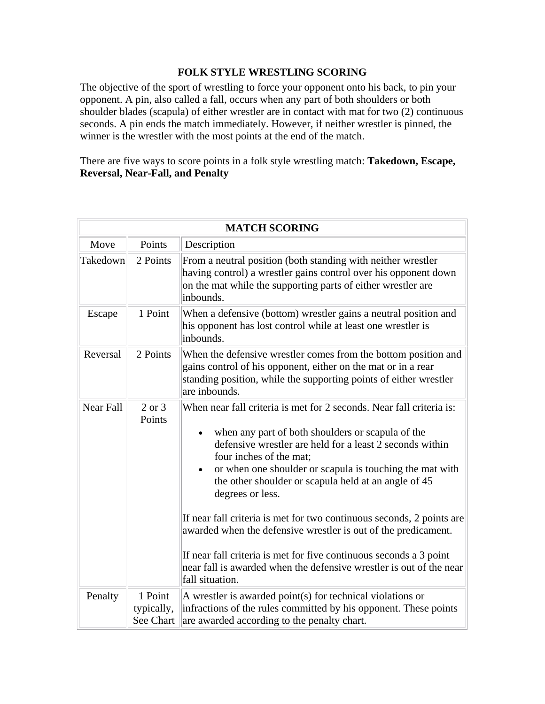## **FOLK STYLE WRESTLING SCORING**

The objective of the sport of wrestling to force your opponent onto his back, to pin your opponent. A pin, also called a fall, occurs when any part of both shoulders or both shoulder blades (scapula) of either wrestler are in contact with mat for two (2) continuous seconds. A pin ends the match immediately. However, if neither wrestler is pinned, the winner is the wrestler with the most points at the end of the match.

There are five ways to score points in a folk style wrestling match: **Takedown, Escape, Reversal, Near-Fall, and Penalty**

| <b>MATCH SCORING</b> |                                    |                                                                                                                                                                                                                                                                                                                                                                                                                                                                                                                                                                                                                                                                     |  |  |  |  |  |
|----------------------|------------------------------------|---------------------------------------------------------------------------------------------------------------------------------------------------------------------------------------------------------------------------------------------------------------------------------------------------------------------------------------------------------------------------------------------------------------------------------------------------------------------------------------------------------------------------------------------------------------------------------------------------------------------------------------------------------------------|--|--|--|--|--|
| Move                 | Points                             | Description                                                                                                                                                                                                                                                                                                                                                                                                                                                                                                                                                                                                                                                         |  |  |  |  |  |
| Takedown             | 2 Points                           | From a neutral position (both standing with neither wrestler<br>having control) a wrestler gains control over his opponent down<br>on the mat while the supporting parts of either wrestler are<br>inbounds.                                                                                                                                                                                                                                                                                                                                                                                                                                                        |  |  |  |  |  |
| Escape               | 1 Point                            | When a defensive (bottom) wrestler gains a neutral position and<br>his opponent has lost control while at least one wrestler is<br>inbounds.                                                                                                                                                                                                                                                                                                                                                                                                                                                                                                                        |  |  |  |  |  |
| Reversal             | 2 Points                           | When the defensive wrestler comes from the bottom position and<br>gains control of his opponent, either on the mat or in a rear<br>standing position, while the supporting points of either wrestler<br>are inbounds.                                                                                                                                                                                                                                                                                                                                                                                                                                               |  |  |  |  |  |
| <b>Near Fall</b>     | $2$ or $3$<br>Points               | When near fall criteria is met for 2 seconds. Near fall criteria is:<br>when any part of both shoulders or scapula of the<br>defensive wrestler are held for a least 2 seconds within<br>four inches of the mat;<br>or when one shoulder or scapula is touching the mat with<br>the other shoulder or scapula held at an angle of 45<br>degrees or less.<br>If near fall criteria is met for two continuous seconds, 2 points are<br>awarded when the defensive wrestler is out of the predicament.<br>If near fall criteria is met for five continuous seconds a 3 point<br>near fall is awarded when the defensive wrestler is out of the near<br>fall situation. |  |  |  |  |  |
| Penalty              | 1 Point<br>typically,<br>See Chart | A wrestler is awarded point(s) for technical violations or<br>infractions of the rules committed by his opponent. These points<br>are awarded according to the penalty chart.                                                                                                                                                                                                                                                                                                                                                                                                                                                                                       |  |  |  |  |  |